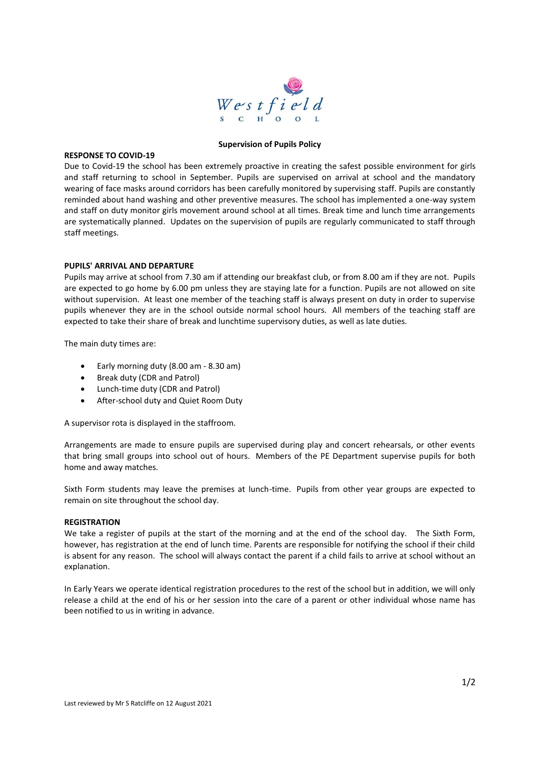

### **Supervision of Pupils Policy**

#### **RESPONSE TO COVID-19**

Due to Covid-19 the school has been extremely proactive in creating the safest possible environment for girls and staff returning to school in September. Pupils are supervised on arrival at school and the mandatory wearing of face masks around corridors has been carefully monitored by supervising staff. Pupils are constantly reminded about hand washing and other preventive measures. The school has implemented a one-way system and staff on duty monitor girls movement around school at all times. Break time and lunch time arrangements are systematically planned. Updates on the supervision of pupils are regularly communicated to staff through staff meetings.

## **PUPILS' ARRIVAL AND DEPARTURE**

Pupils may arrive at school from 7.30 am if attending our breakfast club, or from 8.00 am if they are not. Pupils are expected to go home by 6.00 pm unless they are staying late for a function. Pupils are not allowed on site without supervision. At least one member of the teaching staff is always present on duty in order to supervise pupils whenever they are in the school outside normal school hours. All members of the teaching staff are expected to take their share of break and lunchtime supervisory duties, as well as late duties.

The main duty times are:

- Early morning duty (8.00 am 8.30 am)
- Break duty (CDR and Patrol)
- Lunch-time duty (CDR and Patrol)
- After-school duty and Quiet Room Duty

A supervisor rota is displayed in the staffroom.

Arrangements are made to ensure pupils are supervised during play and concert rehearsals, or other events that bring small groups into school out of hours. Members of the PE Department supervise pupils for both home and away matches.

Sixth Form students may leave the premises at lunch-time. Pupils from other year groups are expected to remain on site throughout the school day.

# **REGISTRATION**

We take a register of pupils at the start of the morning and at the end of the school day. The Sixth Form, however, has registration at the end of lunch time. Parents are responsible for notifying the school if their child is absent for any reason. The school will always contact the parent if a child fails to arrive at school without an explanation.

In Early Years we operate identical registration procedures to the rest of the school but in addition, we will only release a child at the end of his or her session into the care of a parent or other individual whose name has been notified to us in writing in advance.